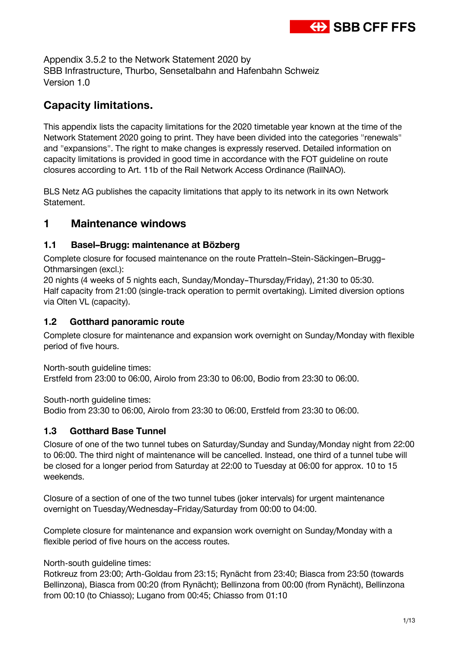

Appendix 3.5.2 to the Network Statement 2020 by SBB Infrastructure, Thurbo, Sensetalbahn and Hafenbahn Schweiz Version 1.0

# **Capacity limitations.**

This appendix lists the capacity limitations for the 2020 timetable year known at the time of the Network Statement 2020 going to print. They have been divided into the categories "renewals" and "expansions". The right to make changes is expressly reserved. Detailed information on capacity limitations is provided in good time in accordance with the FOT guideline on route closures according to Art. 11b of the Rail Network Access Ordinance (RailNAO).

BLS Netz AG publishes the capacity limitations that apply to its network in its own Network Statement.

# **1 Maintenance windows**

#### **1.1 Basel–Brugg: maintenance at Bözberg**

Complete closure for focused maintenance on the route Pratteln–Stein-Säckingen–Brugg– Othmarsingen (excl.):

20 nights (4 weeks of 5 nights each, Sunday/Monday–Thursday/Friday), 21:30 to 05:30. Half capacity from 21:00 (single-track operation to permit overtaking). Limited diversion options via Olten VL (capacity).

#### **1.2 Gotthard panoramic route**

Complete closure for maintenance and expansion work overnight on Sunday/Monday with flexible period of five hours.

North-south guideline times:

Erstfeld from 23:00 to 06:00, Airolo from 23:30 to 06:00, Bodio from 23:30 to 06:00.

South-north guideline times:

Bodio from 23:30 to 06:00, Airolo from 23:30 to 06:00, Erstfeld from 23:30 to 06:00.

### **1.3 Gotthard Base Tunnel**

Closure of one of the two tunnel tubes on Saturday/Sunday and Sunday/Monday night from 22:00 to 06:00. The third night of maintenance will be cancelled. Instead, one third of a tunnel tube will be closed for a longer period from Saturday at 22:00 to Tuesday at 06:00 for approx. 10 to 15 weekends.

Closure of a section of one of the two tunnel tubes (joker intervals) for urgent maintenance overnight on Tuesday/Wednesday–Friday/Saturday from 00:00 to 04:00.

Complete closure for maintenance and expansion work overnight on Sunday/Monday with a flexible period of five hours on the access routes.

North-south guideline times:

Rotkreuz from 23:00; Arth-Goldau from 23:15; Rynächt from 23:40; Biasca from 23:50 (towards Bellinzona), Biasca from 00:20 (from Rynächt); Bellinzona from 00:00 (from Rynächt), Bellinzona from 00:10 (to Chiasso); Lugano from 00:45; Chiasso from 01:10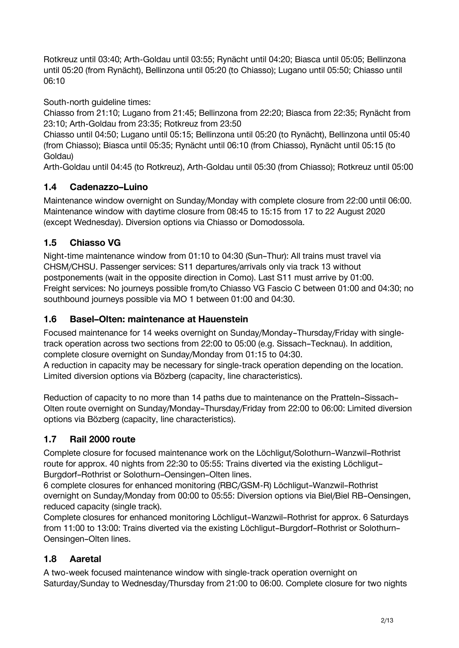Rotkreuz until 03:40; Arth-Goldau until 03:55; Rynächt until 04:20; Biasca until 05:05; Bellinzona until 05:20 (from Rynächt), Bellinzona until 05:20 (to Chiasso); Lugano until 05:50; Chiasso until 06:10

South-north guideline times:

Chiasso from 21:10; Lugano from 21:45; Bellinzona from 22:20; Biasca from 22:35; Rynächt from 23:10; Arth-Goldau from 23:35; Rotkreuz from 23:50

Chiasso until 04:50; Lugano until 05:15; Bellinzona until 05:20 (to Rynächt), Bellinzona until 05:40 (from Chiasso); Biasca until 05:35; Rynächt until 06:10 (from Chiasso), Rynächt until 05:15 (to Goldau)

Arth-Goldau until 04:45 (to Rotkreuz), Arth-Goldau until 05:30 (from Chiasso); Rotkreuz until 05:00

# **1.4 Cadenazzo–Luino**

Maintenance window overnight on Sunday/Monday with complete closure from 22:00 until 06:00. Maintenance window with daytime closure from 08:45 to 15:15 from 17 to 22 August 2020 (except Wednesday). Diversion options via Chiasso or Domodossola.

# **1.5 Chiasso VG**

Night-time maintenance window from 01:10 to 04:30 (Sun–Thur): All trains must travel via CHSM/CHSU. Passenger services: S11 departures/arrivals only via track 13 without postponements (wait in the opposite direction in Como). Last S11 must arrive by 01:00. Freight services: No journeys possible from/to Chiasso VG Fascio C between 01:00 and 04:30; no southbound journeys possible via MO 1 between 01:00 and 04:30.

# **1.6 Basel–Olten: maintenance at Hauenstein**

Focused maintenance for 14 weeks overnight on Sunday/Monday–Thursday/Friday with singletrack operation across two sections from 22:00 to 05:00 (e.g. Sissach–Tecknau). In addition, complete closure overnight on Sunday/Monday from 01:15 to 04:30.

A reduction in capacity may be necessary for single-track operation depending on the location. Limited diversion options via Bözberg (capacity, line characteristics).

Reduction of capacity to no more than 14 paths due to maintenance on the Pratteln–Sissach– Olten route overnight on Sunday/Monday–Thursday/Friday from 22:00 to 06:00: Limited diversion options via Bözberg (capacity, line characteristics).

# **1.7 Rail 2000 route**

Complete closure for focused maintenance work on the Löchligut/Solothurn–Wanzwil–Rothrist route for approx. 40 nights from 22:30 to 05:55: Trains diverted via the existing Löchligut– Burgdorf–Rothrist or Solothurn–Oensingen–Olten lines.

6 complete closures for enhanced monitoring (RBC/GSM-R) Löchligut–Wanzwil–Rothrist overnight on Sunday/Monday from 00:00 to 05:55: Diversion options via Biel/Biel RB–Oensingen, reduced capacity (single track).

Complete closures for enhanced monitoring Löchligut–Wanzwil–Rothrist for approx. 6 Saturdays from 11:00 to 13:00: Trains diverted via the existing Löchligut–Burgdorf–Rothrist or Solothurn– Oensingen–Olten lines.

# **1.8 Aaretal**

A two-week focused maintenance window with single-track operation overnight on Saturday/Sunday to Wednesday/Thursday from 21:00 to 06:00. Complete closure for two nights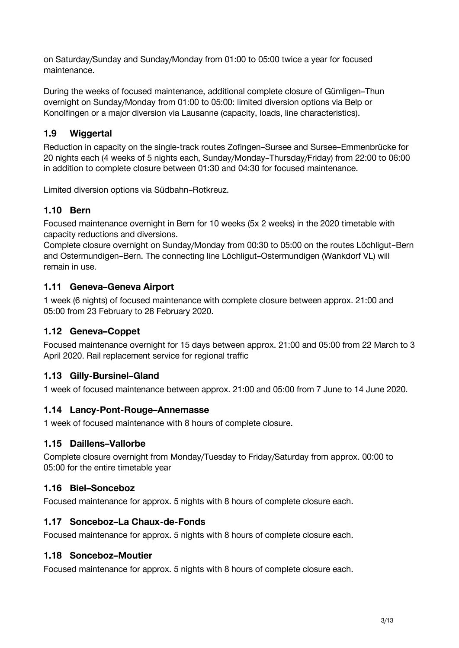on Saturday/Sunday and Sunday/Monday from 01:00 to 05:00 twice a year for focused maintenance.

During the weeks of focused maintenance, additional complete closure of Gümligen–Thun overnight on Sunday/Monday from 01:00 to 05:00: limited diversion options via Belp or Konolfingen or a major diversion via Lausanne (capacity, loads, line characteristics).

## **1.9 Wiggertal**

Reduction in capacity on the single-track routes Zofingen–Sursee and Sursee–Emmenbrücke for 20 nights each (4 weeks of 5 nights each, Sunday/Monday–Thursday/Friday) from 22:00 to 06:00 in addition to complete closure between 01:30 and 04:30 for focused maintenance.

Limited diversion options via Südbahn–Rotkreuz.

## **1.10 Bern**

Focused maintenance overnight in Bern for 10 weeks (5x 2 weeks) in the 2020 timetable with capacity reductions and diversions.

Complete closure overnight on Sunday/Monday from 00:30 to 05:00 on the routes Löchligut–Bern and Ostermundigen–Bern. The connecting line Löchligut–Ostermundigen (Wankdorf VL) will remain in use.

#### **1.11 Geneva–Geneva Airport**

1 week (6 nights) of focused maintenance with complete closure between approx. 21:00 and 05:00 from 23 February to 28 February 2020.

### **1.12 Geneva–Coppet**

Focused maintenance overnight for 15 days between approx. 21:00 and 05:00 from 22 March to 3 April 2020. Rail replacement service for regional traffic

### **1.13 Gilly-Bursinel–Gland**

1 week of focused maintenance between approx. 21:00 and 05:00 from 7 June to 14 June 2020.

#### **1.14 Lancy-Pont-Rouge–Annemasse**

1 week of focused maintenance with 8 hours of complete closure.

#### **1.15 Daillens–Vallorbe**

Complete closure overnight from Monday/Tuesday to Friday/Saturday from approx. 00:00 to 05:00 for the entire timetable year

#### **1.16 Biel–Sonceboz**

Focused maintenance for approx. 5 nights with 8 hours of complete closure each.

#### **1.17 Sonceboz–La Chaux-de-Fonds**

Focused maintenance for approx. 5 nights with 8 hours of complete closure each.

#### **1.18 Sonceboz–Moutier**

Focused maintenance for approx. 5 nights with 8 hours of complete closure each.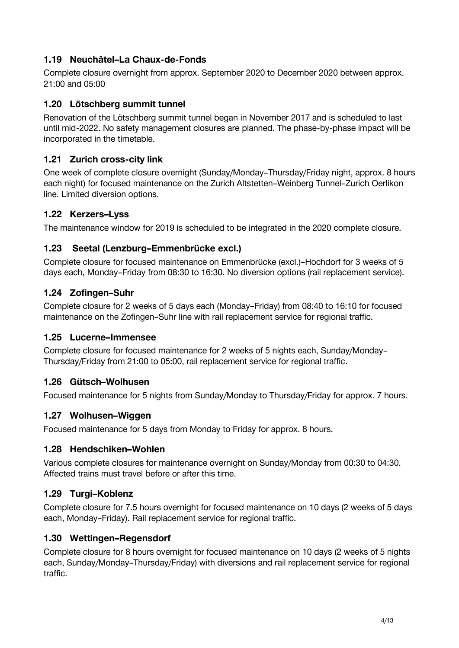### **1.19 Neuchâtel–La Chaux-de-Fonds**

Complete closure overnight from approx. September 2020 to December 2020 between approx. 21:00 and 05:00

## **1.20 Lötschberg summit tunnel**

Renovation of the Lötschberg summit tunnel began in November 2017 and is scheduled to last until mid-2022. No safety management closures are planned. The phase-by-phase impact will be incorporated in the timetable.

### **1.21 Zurich cross-city link**

One week of complete closure overnight (Sunday/Monday–Thursday/Friday night, approx. 8 hours each night) for focused maintenance on the Zurich Altstetten–Weinberg Tunnel–Zurich Oerlikon line. Limited diversion options.

# **1.22 Kerzers–Lyss**

The maintenance window for 2019 is scheduled to be integrated in the 2020 complete closure.

## **1.23 Seetal (Lenzburg–Emmenbrücke excl.)**

Complete closure for focused maintenance on Emmenbrücke (excl.)–Hochdorf for 3 weeks of 5 days each, Monday–Friday from 08:30 to 16:30. No diversion options (rail replacement service).

## **1.24 Zofingen–Suhr**

Complete closure for 2 weeks of 5 days each (Monday–Friday) from 08:40 to 16:10 for focused maintenance on the Zofingen–Suhr line with rail replacement service for regional traffic.

### **1.25 Lucerne–Immensee**

Complete closure for focused maintenance for 2 weeks of 5 nights each, Sunday/Monday– Thursday/Friday from 21:00 to 05:00, rail replacement service for regional traffic.

### **1.26 Gütsch–Wolhusen**

Focused maintenance for 5 nights from Sunday/Monday to Thursday/Friday for approx. 7 hours.

### **1.27 Wolhusen–Wiggen**

Focused maintenance for 5 days from Monday to Friday for approx. 8 hours.

### **1.28 Hendschiken–Wohlen**

Various complete closures for maintenance overnight on Sunday/Monday from 00:30 to 04:30. Affected trains must travel before or after this time.

# **1.29 Turgi–Koblenz**

Complete closure for 7.5 hours overnight for focused maintenance on 10 days (2 weeks of 5 days each, Monday–Friday). Rail replacement service for regional traffic.

### **1.30 Wettingen–Regensdorf**

Complete closure for 8 hours overnight for focused maintenance on 10 days (2 weeks of 5 nights each, Sunday/Monday–Thursday/Friday) with diversions and rail replacement service for regional traffic.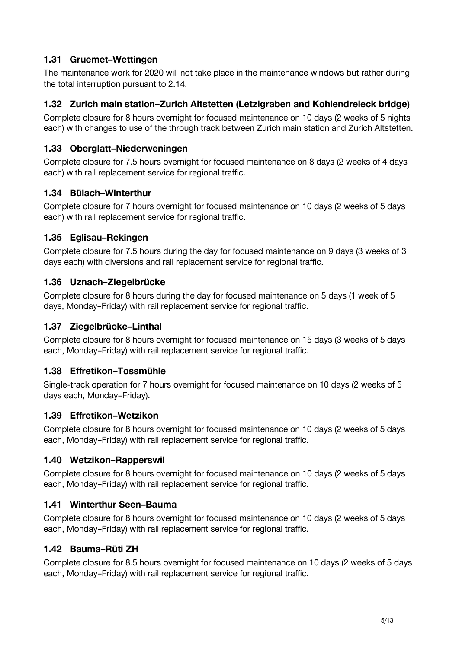## **1.31 Gruemet–Wettingen**

The maintenance work for 2020 will not take place in the maintenance windows but rather during the total interruption pursuant to 2.14.

### **1.32 Zurich main station–Zurich Altstetten (Letzigraben and Kohlendreieck bridge)**

Complete closure for 8 hours overnight for focused maintenance on 10 days (2 weeks of 5 nights each) with changes to use of the through track between Zurich main station and Zurich Altstetten.

## **1.33 Oberglatt–Niederweningen**

Complete closure for 7.5 hours overnight for focused maintenance on 8 days (2 weeks of 4 days each) with rail replacement service for regional traffic.

## **1.34 Bülach–Winterthur**

Complete closure for 7 hours overnight for focused maintenance on 10 days (2 weeks of 5 days each) with rail replacement service for regional traffic.

## **1.35 Eglisau–Rekingen**

Complete closure for 7.5 hours during the day for focused maintenance on 9 days (3 weeks of 3 days each) with diversions and rail replacement service for regional traffic.

## **1.36 Uznach–Ziegelbrücke**

Complete closure for 8 hours during the day for focused maintenance on 5 days (1 week of 5 days, Monday–Friday) with rail replacement service for regional traffic.

### **1.37 Ziegelbrücke–Linthal**

Complete closure for 8 hours overnight for focused maintenance on 15 days (3 weeks of 5 days each, Monday–Friday) with rail replacement service for regional traffic.

# **1.38 Effretikon–Tossmühle**

Single-track operation for 7 hours overnight for focused maintenance on 10 days (2 weeks of 5 days each, Monday–Friday).

### **1.39 Effretikon–Wetzikon**

Complete closure for 8 hours overnight for focused maintenance on 10 days (2 weeks of 5 days each, Monday–Friday) with rail replacement service for regional traffic.

### **1.40 Wetzikon–Rapperswil**

Complete closure for 8 hours overnight for focused maintenance on 10 days (2 weeks of 5 days each, Monday–Friday) with rail replacement service for regional traffic.

### **1.41 Winterthur Seen–Bauma**

Complete closure for 8 hours overnight for focused maintenance on 10 days (2 weeks of 5 days each, Monday–Friday) with rail replacement service for regional traffic.

### **1.42 Bauma–Rüti ZH**

Complete closure for 8.5 hours overnight for focused maintenance on 10 days (2 weeks of 5 days each, Monday–Friday) with rail replacement service for regional traffic.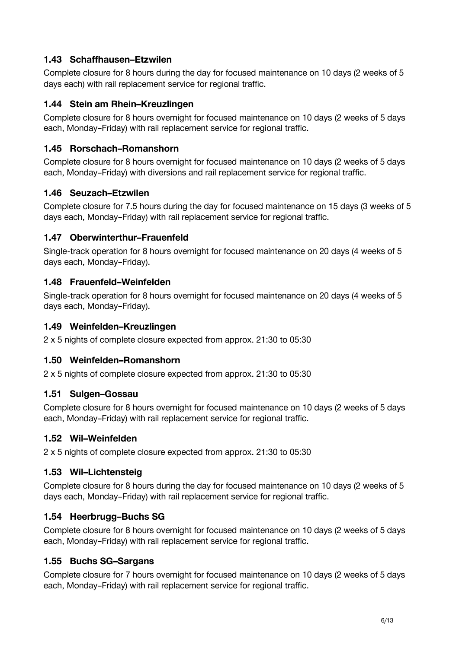## **1.43 Schaffhausen–Etzwilen**

Complete closure for 8 hours during the day for focused maintenance on 10 days (2 weeks of 5 days each) with rail replacement service for regional traffic.

### **1.44 Stein am Rhein–Kreuzlingen**

Complete closure for 8 hours overnight for focused maintenance on 10 days (2 weeks of 5 days each, Monday–Friday) with rail replacement service for regional traffic.

## **1.45 Rorschach–Romanshorn**

Complete closure for 8 hours overnight for focused maintenance on 10 days (2 weeks of 5 days each, Monday–Friday) with diversions and rail replacement service for regional traffic.

### **1.46 Seuzach–Etzwilen**

Complete closure for 7.5 hours during the day for focused maintenance on 15 days (3 weeks of 5 days each, Monday–Friday) with rail replacement service for regional traffic.

### **1.47 Oberwinterthur–Frauenfeld**

Single-track operation for 8 hours overnight for focused maintenance on 20 days (4 weeks of 5 days each, Monday–Friday).

### **1.48 Frauenfeld–Weinfelden**

Single-track operation for 8 hours overnight for focused maintenance on 20 days (4 weeks of 5 days each, Monday–Friday).

### **1.49 Weinfelden–Kreuzlingen**

2 x 5 nights of complete closure expected from approx. 21:30 to 05:30

# **1.50 Weinfelden–Romanshorn**

2 x 5 nights of complete closure expected from approx. 21:30 to 05:30

### **1.51 Sulgen–Gossau**

Complete closure for 8 hours overnight for focused maintenance on 10 days (2 weeks of 5 days each, Monday–Friday) with rail replacement service for regional traffic.

### **1.52 Wil–Weinfelden**

2 x 5 nights of complete closure expected from approx. 21:30 to 05:30

### **1.53 Wil–Lichtensteig**

Complete closure for 8 hours during the day for focused maintenance on 10 days (2 weeks of 5 days each, Monday–Friday) with rail replacement service for regional traffic.

### **1.54 Heerbrugg–Buchs SG**

Complete closure for 8 hours overnight for focused maintenance on 10 days (2 weeks of 5 days each, Monday–Friday) with rail replacement service for regional traffic.

# **1.55 Buchs SG–Sargans**

Complete closure for 7 hours overnight for focused maintenance on 10 days (2 weeks of 5 days each, Monday–Friday) with rail replacement service for regional traffic.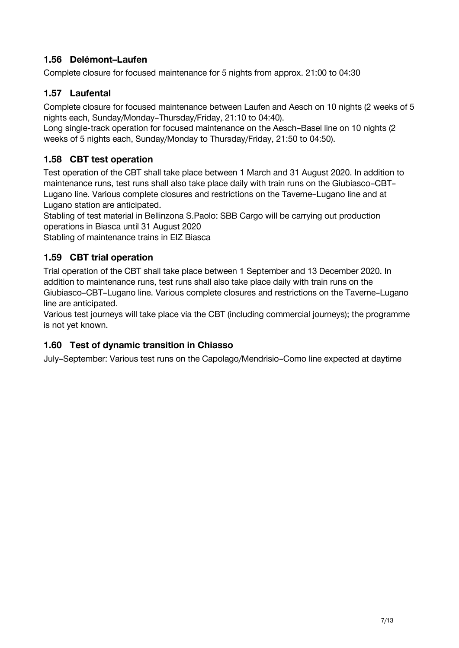## **1.56 Delémont–Laufen**

Complete closure for focused maintenance for 5 nights from approx. 21:00 to 04:30

### **1.57 Laufental**

Complete closure for focused maintenance between Laufen and Aesch on 10 nights (2 weeks of 5 nights each, Sunday/Monday–Thursday/Friday, 21:10 to 04:40).

Long single-track operation for focused maintenance on the Aesch–Basel line on 10 nights (2 weeks of 5 nights each, Sunday/Monday to Thursday/Friday, 21:50 to 04:50).

## **1.58 CBT test operation**

Test operation of the CBT shall take place between 1 March and 31 August 2020. In addition to maintenance runs, test runs shall also take place daily with train runs on the Giubiasco–CBT– Lugano line. Various complete closures and restrictions on the Taverne–Lugano line and at Lugano station are anticipated.

Stabling of test material in Bellinzona S.Paolo: SBB Cargo will be carrying out production operations in Biasca until 31 August 2020

Stabling of maintenance trains in EIZ Biasca

### **1.59 CBT trial operation**

Trial operation of the CBT shall take place between 1 September and 13 December 2020. In addition to maintenance runs, test runs shall also take place daily with train runs on the Giubiasco–CBT–Lugano line. Various complete closures and restrictions on the Taverne–Lugano line are anticipated.

Various test journeys will take place via the CBT (including commercial journeys); the programme is not yet known.

### **1.60 Test of dynamic transition in Chiasso**

July–September: Various test runs on the Capolago/Mendrisio–Como line expected at daytime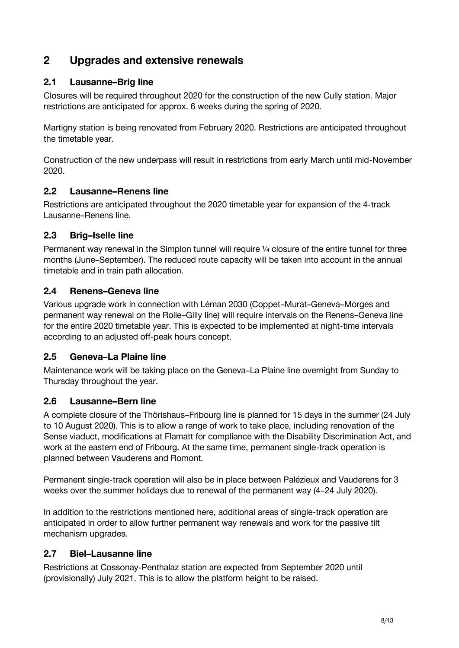# **2 Upgrades and extensive renewals**

## **2.1 Lausanne–Brig line**

Closures will be required throughout 2020 for the construction of the new Cully station. Major restrictions are anticipated for approx. 6 weeks during the spring of 2020.

Martigny station is being renovated from February 2020. Restrictions are anticipated throughout the timetable year.

Construction of the new underpass will result in restrictions from early March until mid-November 2020.

### **2.2 Lausanne–Renens line**

Restrictions are anticipated throughout the 2020 timetable year for expansion of the 4-track Lausanne–Renens line.

### **2.3 Brig–Iselle line**

Permanent way renewal in the Simplon tunnel will require 1/4 closure of the entire tunnel for three months (June–September). The reduced route capacity will be taken into account in the annual timetable and in train path allocation.

## **2.4 Renens–Geneva line**

Various upgrade work in connection with Léman 2030 (Coppet–Murat–Geneva–Morges and permanent way renewal on the Rolle–Gilly line) will require intervals on the Renens–Geneva line for the entire 2020 timetable year. This is expected to be implemented at night-time intervals according to an adjusted off-peak hours concept.

### **2.5 Geneva–La Plaine line**

Maintenance work will be taking place on the Geneva–La Plaine line overnight from Sunday to Thursday throughout the year.

### **2.6 Lausanne–Bern line**

A complete closure of the Thörishaus–Fribourg line is planned for 15 days in the summer (24 July to 10 August 2020). This is to allow a range of work to take place, including renovation of the Sense viaduct, modifications at Flamatt for compliance with the Disability Discrimination Act, and work at the eastern end of Fribourg. At the same time, permanent single-track operation is planned between Vauderens and Romont.

Permanent single-track operation will also be in place between Palézieux and Vauderens for 3 weeks over the summer holidays due to renewal of the permanent way (4–24 July 2020).

In addition to the restrictions mentioned here, additional areas of single-track operation are anticipated in order to allow further permanent way renewals and work for the passive tilt mechanism upgrades.

### **2.7 Biel–Lausanne line**

Restrictions at Cossonay-Penthalaz station are expected from September 2020 until (provisionally) July 2021. This is to allow the platform height to be raised.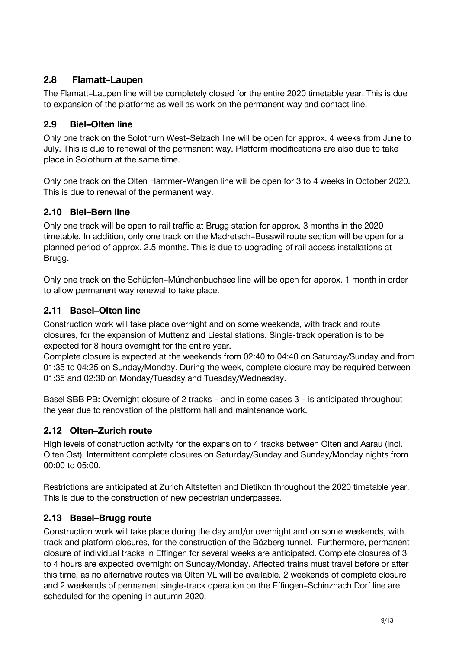## **2.8 Flamatt–Laupen**

The Flamatt–Laupen line will be completely closed for the entire 2020 timetable year. This is due to expansion of the platforms as well as work on the permanent way and contact line.

## **2.9 Biel–Olten line**

Only one track on the Solothurn West–Selzach line will be open for approx. 4 weeks from June to July. This is due to renewal of the permanent way. Platform modifications are also due to take place in Solothurn at the same time.

Only one track on the Olten Hammer–Wangen line will be open for 3 to 4 weeks in October 2020. This is due to renewal of the permanent way.

## **2.10 Biel–Bern line**

Only one track will be open to rail traffic at Brugg station for approx. 3 months in the 2020 timetable. In addition, only one track on the Madretsch–Busswil route section will be open for a planned period of approx. 2.5 months. This is due to upgrading of rail access installations at Brugg.

Only one track on the Schüpfen–Münchenbuchsee line will be open for approx. 1 month in order to allow permanent way renewal to take place.

### **2.11 Basel–Olten line**

Construction work will take place overnight and on some weekends, with track and route closures, for the expansion of Muttenz and Liestal stations. Single-track operation is to be expected for 8 hours overnight for the entire year.

Complete closure is expected at the weekends from 02:40 to 04:40 on Saturday/Sunday and from 01:35 to 04:25 on Sunday/Monday. During the week, complete closure may be required between 01:35 and 02:30 on Monday/Tuesday and Tuesday/Wednesday.

Basel SBB PB: Overnight closure of 2 tracks – and in some cases 3 – is anticipated throughout the year due to renovation of the platform hall and maintenance work.

# **2.12 Olten–Zurich route**

High levels of construction activity for the expansion to 4 tracks between Olten and Aarau (incl. Olten Ost). Intermittent complete closures on Saturday/Sunday and Sunday/Monday nights from 00:00 to 05:00.

Restrictions are anticipated at Zurich Altstetten and Dietikon throughout the 2020 timetable year. This is due to the construction of new pedestrian underpasses.

# **2.13 Basel–Brugg route**

Construction work will take place during the day and/or overnight and on some weekends, with track and platform closures, for the construction of the Bözberg tunnel. Furthermore, permanent closure of individual tracks in Effingen for several weeks are anticipated. Complete closures of 3 to 4 hours are expected overnight on Sunday/Monday. Affected trains must travel before or after this time, as no alternative routes via Olten VL will be available. 2 weekends of complete closure and 2 weekends of permanent single-track operation on the Effingen–Schinznach Dorf line are scheduled for the opening in autumn 2020.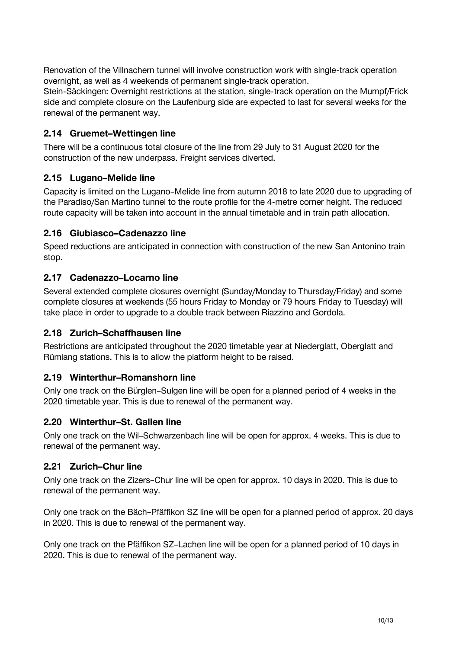Renovation of the Villnachern tunnel will involve construction work with single-track operation overnight, as well as 4 weekends of permanent single-track operation.

Stein-Säckingen: Overnight restrictions at the station, single-track operation on the Mumpf/Frick side and complete closure on the Laufenburg side are expected to last for several weeks for the renewal of the permanent way.

### **2.14 Gruemet–Wettingen line**

There will be a continuous total closure of the line from 29 July to 31 August 2020 for the construction of the new underpass. Freight services diverted.

#### **2.15 Lugano–Melide line**

Capacity is limited on the Lugano–Melide line from autumn 2018 to late 2020 due to upgrading of the Paradiso/San Martino tunnel to the route profile for the 4-metre corner height. The reduced route capacity will be taken into account in the annual timetable and in train path allocation.

#### **2.16 Giubiasco–Cadenazzo line**

Speed reductions are anticipated in connection with construction of the new San Antonino train stop.

#### **2.17 Cadenazzo–Locarno line**

Several extended complete closures overnight (Sunday/Monday to Thursday/Friday) and some complete closures at weekends (55 hours Friday to Monday or 79 hours Friday to Tuesday) will take place in order to upgrade to a double track between Riazzino and Gordola.

#### **2.18 Zurich–Schaffhausen line**

Restrictions are anticipated throughout the 2020 timetable year at Niederglatt, Oberglatt and Rümlang stations. This is to allow the platform height to be raised.

#### **2.19 Winterthur–Romanshorn line**

Only one track on the Bürglen–Sulgen line will be open for a planned period of 4 weeks in the 2020 timetable year. This is due to renewal of the permanent way.

#### **2.20 Winterthur–St. Gallen line**

Only one track on the Wil–Schwarzenbach line will be open for approx. 4 weeks. This is due to renewal of the permanent way.

#### **2.21 Zurich–Chur line**

Only one track on the Zizers–Chur line will be open for approx. 10 days in 2020. This is due to renewal of the permanent way.

Only one track on the Bäch–Pfäffikon SZ line will be open for a planned period of approx. 20 days in 2020. This is due to renewal of the permanent way.

Only one track on the Pfäffikon SZ–Lachen line will be open for a planned period of 10 days in 2020. This is due to renewal of the permanent way.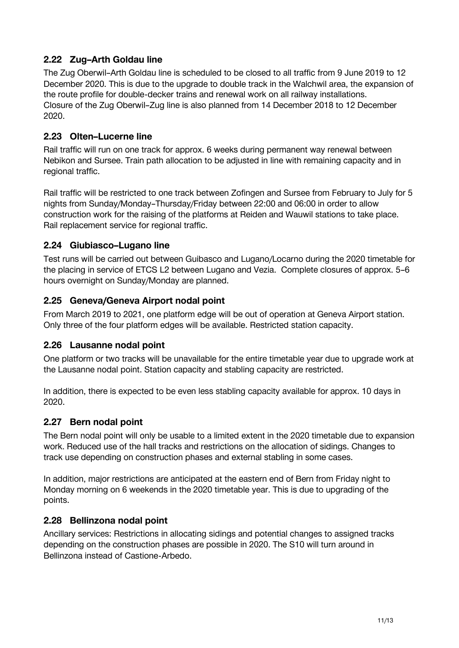### **2.22 Zug–Arth Goldau line**

The Zug Oberwil–Arth Goldau line is scheduled to be closed to all traffic from 9 June 2019 to 12 December 2020. This is due to the upgrade to double track in the Walchwil area, the expansion of the route profile for double-decker trains and renewal work on all railway installations. Closure of the Zug Oberwil–Zug line is also planned from 14 December 2018 to 12 December 2020.

### **2.23 Olten–Lucerne line**

Rail traffic will run on one track for approx. 6 weeks during permanent way renewal between Nebikon and Sursee. Train path allocation to be adjusted in line with remaining capacity and in regional traffic.

Rail traffic will be restricted to one track between Zofingen and Sursee from February to July for 5 nights from Sunday/Monday–Thursday/Friday between 22:00 and 06:00 in order to allow construction work for the raising of the platforms at Reiden and Wauwil stations to take place. Rail replacement service for regional traffic.

## **2.24 Giubiasco–Lugano line**

Test runs will be carried out between Guibasco and Lugano/Locarno during the 2020 timetable for the placing in service of ETCS L2 between Lugano and Vezia. Complete closures of approx. 5–6 hours overnight on Sunday/Monday are planned.

## **2.25 Geneva/Geneva Airport nodal point**

From March 2019 to 2021, one platform edge will be out of operation at Geneva Airport station. Only three of the four platform edges will be available. Restricted station capacity.

### **2.26 Lausanne nodal point**

One platform or two tracks will be unavailable for the entire timetable year due to upgrade work at the Lausanne nodal point. Station capacity and stabling capacity are restricted.

In addition, there is expected to be even less stabling capacity available for approx. 10 days in 2020.

### **2.27 Bern nodal point**

The Bern nodal point will only be usable to a limited extent in the 2020 timetable due to expansion work. Reduced use of the hall tracks and restrictions on the allocation of sidings. Changes to track use depending on construction phases and external stabling in some cases.

In addition, major restrictions are anticipated at the eastern end of Bern from Friday night to Monday morning on 6 weekends in the 2020 timetable year. This is due to upgrading of the points.

### **2.28 Bellinzona nodal point**

Ancillary services: Restrictions in allocating sidings and potential changes to assigned tracks depending on the construction phases are possible in 2020. The S10 will turn around in Bellinzona instead of Castione-Arbedo.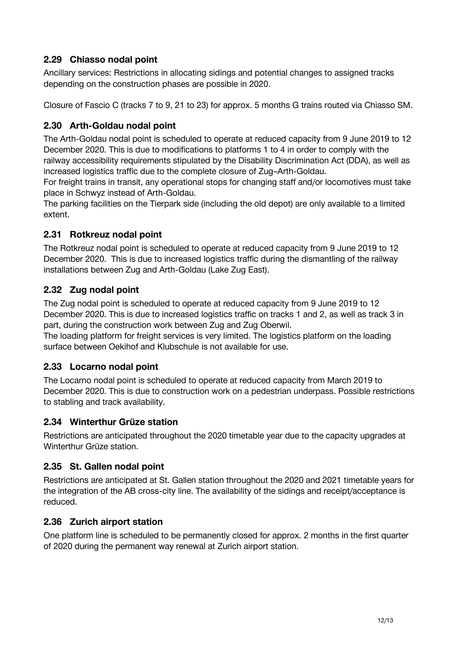## **2.29 Chiasso nodal point**

Ancillary services: Restrictions in allocating sidings and potential changes to assigned tracks depending on the construction phases are possible in 2020.

Closure of Fascio C (tracks 7 to 9, 21 to 23) for approx. 5 months G trains routed via Chiasso SM.

### **2.30 Arth-Goldau nodal point**

The Arth-Goldau nodal point is scheduled to operate at reduced capacity from 9 June 2019 to 12 December 2020. This is due to modifications to platforms 1 to 4 in order to comply with the railway accessibility requirements stipulated by the Disability Discrimination Act (DDA), as well as increased logistics traffic due to the complete closure of Zug–Arth-Goldau.

For freight trains in transit, any operational stops for changing staff and/or locomotives must take place in Schwyz instead of Arth-Goldau.

The parking facilities on the Tierpark side (including the old depot) are only available to a limited extent.

## **2.31 Rotkreuz nodal point**

The Rotkreuz nodal point is scheduled to operate at reduced capacity from 9 June 2019 to 12 December 2020. This is due to increased logistics traffic during the dismantling of the railway installations between Zug and Arth-Goldau (Lake Zug East).

## **2.32 Zug nodal point**

The Zug nodal point is scheduled to operate at reduced capacity from 9 June 2019 to 12 December 2020. This is due to increased logistics traffic on tracks 1 and 2, as well as track 3 in part, during the construction work between Zug and Zug Oberwil.

The loading platform for freight services is very limited. The logistics platform on the loading surface between Oekihof and Klubschule is not available for use.

### **2.33 Locarno nodal point**

The Locarno nodal point is scheduled to operate at reduced capacity from March 2019 to December 2020. This is due to construction work on a pedestrian underpass. Possible restrictions to stabling and track availability.

### **2.34 Winterthur Grüze station**

Restrictions are anticipated throughout the 2020 timetable year due to the capacity upgrades at Winterthur Grüze station.

### **2.35 St. Gallen nodal point**

Restrictions are anticipated at St. Gallen station throughout the 2020 and 2021 timetable years for the integration of the AB cross-city line. The availability of the sidings and receipt/acceptance is reduced.

### **2.36 Zurich airport station**

One platform line is scheduled to be permanently closed for approx. 2 months in the first quarter of 2020 during the permanent way renewal at Zurich airport station.